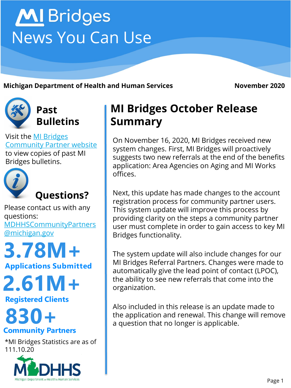# **MI** Bridges News You Can Use

**Michigan Department of Health and Human Services <b>November 2020** 



**Past Bulletins**

Visit the MI Bridges [Community Partner website](http://www.michigan.gov/mdhhs/0,5885,7-339-71551_82637---,00.html)  to view copies of past MI Bridges bulletins.



Please contact us with any questions:

[MDHHSCommunityPartners](mailto:MDHHSCommunityPartners@michigan.gov) @michigan.gov

**Applications Submitted 3.78M+**

**2.61M+**

**Registered Clients**

# **Community Partners 830+**

\*MI Bridges Statistics are as of 111.10.20



# **MI Bridges October Release Summary**

On November 16, 2020, MI Bridges received new system changes. First, MI Bridges will proactively suggests two new referrals at the end of the benefits application: Area Agencies on Aging and MI Works offices.

Next, this update has made changes to the account registration process for community partner users. This system update will improve this process by providing clarity on the steps a community partner user must complete in order to gain access to key MI Bridges functionality.

The system update will also include changes for our MI Bridges Referral Partners. Changes were made to automatically give the lead point of contact (LPOC), the ability to see new referrals that come into the organization.

Also included in this release is an update made to the application and renewal. This change will remove a question that no longer is applicable.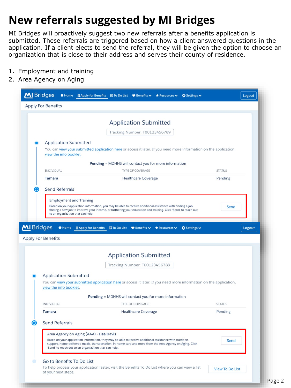## **New referrals suggested by MI Bridges**

MI Bridges will proactively suggest two new referrals after a benefits application is submitted. These referrals are triggered based on how a client answered questions in the application. If a client elects to send the referral, they will be given the option to choose an organization that is close to their address and serves their county of residence.

- 1. Employment and training
- 2. Area Agency on Aging

|            | <b>Apply For Benefits</b>                                                                                                                                                                                                                                                     |                             |                     |                                                      |                                                              |                            |               |        |
|------------|-------------------------------------------------------------------------------------------------------------------------------------------------------------------------------------------------------------------------------------------------------------------------------|-----------------------------|---------------------|------------------------------------------------------|--------------------------------------------------------------|----------------------------|---------------|--------|
|            |                                                                                                                                                                                                                                                                               |                             |                     |                                                      |                                                              |                            |               |        |
|            |                                                                                                                                                                                                                                                                               |                             |                     | <b>Application Submitted</b>                         |                                                              |                            |               |        |
|            |                                                                                                                                                                                                                                                                               |                             |                     | Tracking Number: T00123456789                        |                                                              |                            |               |        |
|            | <b>Application Submitted</b>                                                                                                                                                                                                                                                  |                             |                     |                                                      |                                                              |                            |               |        |
|            | You can view your submitted application here or access it later. If you need more information on the application,                                                                                                                                                             |                             |                     |                                                      |                                                              |                            |               |        |
|            | view the info booklet.                                                                                                                                                                                                                                                        |                             |                     |                                                      |                                                              |                            |               |        |
|            |                                                                                                                                                                                                                                                                               |                             |                     |                                                      | <b>Pending</b> = MDHHS will contact you for more information |                            |               |        |
|            | INDIVIDUAL                                                                                                                                                                                                                                                                    |                             |                     | TYPE OF COVERAGE                                     |                                                              |                            | <b>STATUS</b> |        |
|            | <b>Tamara</b>                                                                                                                                                                                                                                                                 |                             |                     | <b>Healthcare Coverage</b>                           |                                                              |                            | Pending       |        |
|            | <b>Send Referrals</b>                                                                                                                                                                                                                                                         |                             |                     |                                                      |                                                              |                            |               |        |
|            | <b>Employment and Training</b>                                                                                                                                                                                                                                                |                             |                     |                                                      |                                                              |                            |               |        |
|            | Based on your application information, you may be able to receive additional assistance with finding a job,                                                                                                                                                                   |                             |                     |                                                      |                                                              |                            | Send          |        |
|            | finding a new job to improve your income, or furthering your education and training. Click 'Send' to reach out<br>to an organization that can help.                                                                                                                           |                             |                     |                                                      |                                                              |                            |               |        |
|            |                                                                                                                                                                                                                                                                               |                             |                     |                                                      |                                                              |                            |               |        |
| MI Bridges | <b>f</b> Home<br><b>Apply For Benefits</b>                                                                                                                                                                                                                                    | <b>图 Apply for Benefits</b> | <b>⊠</b> To Do List | $\blacktriangleright$ Benefits $\blacktriangleright$ | Resources v                                                  | <b>Ö</b> Settings <b>∨</b> |               |        |
|            |                                                                                                                                                                                                                                                                               |                             |                     |                                                      |                                                              |                            |               |        |
|            |                                                                                                                                                                                                                                                                               |                             |                     | <b>Application Submitted</b>                         |                                                              |                            |               |        |
|            |                                                                                                                                                                                                                                                                               |                             |                     | Tracking Number: T00123456789                        |                                                              |                            |               |        |
|            | <b>Application Submitted</b>                                                                                                                                                                                                                                                  |                             |                     |                                                      |                                                              |                            |               |        |
|            | You can view your submitted application here or access it later. If you need more information on the application,<br>view the info booklet.                                                                                                                                   |                             |                     |                                                      |                                                              |                            |               |        |
|            |                                                                                                                                                                                                                                                                               |                             |                     |                                                      | <b>Pending</b> = MDHHS will contact you for more information |                            |               |        |
|            | INDIVIDUAL                                                                                                                                                                                                                                                                    |                             |                     | <b>TYPE OF COVERAGE</b>                              |                                                              |                            | <b>STATUS</b> |        |
|            | <b>Tamara</b>                                                                                                                                                                                                                                                                 |                             |                     | <b>Healthcare Coverage</b>                           |                                                              |                            | Pending       |        |
|            |                                                                                                                                                                                                                                                                               |                             |                     |                                                      |                                                              |                            |               |        |
|            | <b>Send Referrals</b>                                                                                                                                                                                                                                                         |                             |                     |                                                      |                                                              |                            |               |        |
|            | Area Agency on Aging (AAA) - Lisa Davis                                                                                                                                                                                                                                       |                             |                     |                                                      |                                                              |                            |               |        |
|            | Based on your application information, they may be able to receive additional assistance with nutrition<br>support, home-delivered meals, transportation, in-home care and more from the Area Agency on Aging. Click<br>'Send' to reach out to an organization that can help. |                             |                     |                                                      |                                                              |                            | Send          |        |
|            |                                                                                                                                                                                                                                                                               |                             |                     |                                                      |                                                              |                            |               |        |
|            | Go to Benefits To Do List<br>To help process your application faster, visit the Benefits To Do List where you can view a list                                                                                                                                                 |                             |                     |                                                      |                                                              |                            |               | Logout |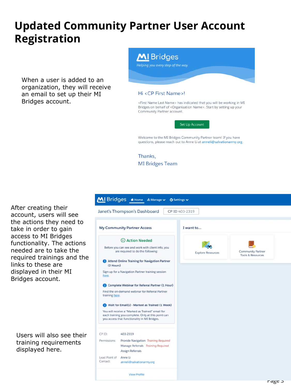### **Updated Community Partner User Account Registration**

When a user is added to an organization, they will receive an email to set up their MI Bridges account.



Hi <CP First Name>!

<First Name Last Name> has indicated that you will be working in MI Bridges on behalf of <Organization Name>. Start by setting up your Community Partner account.

Set Up Account

Welcome to the MI Bridges Community Partner team! If you have questions, please reach out to Anne Li at anneli@salvationarmy.org.

Thanks, **MI Bridges Team** 

**View Profile** 



Users will also see their training requirements displayed here.



rage 3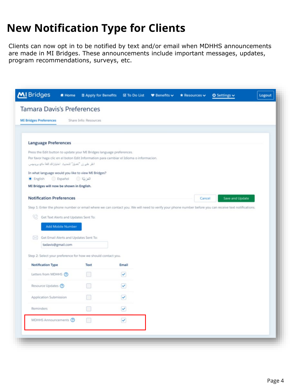## **New Notification Type for Clients**

Clients can now opt in to be notified by text and/or email when MDHHS announcements are made in MI Bridges. These announcements include important messages, updates, program recommendations, surveys, etc.

|           | <b>Tamara Davis's Preferences</b>                                                      |                       |              |  |        |                                                                                                                                                       |  |
|-----------|----------------------------------------------------------------------------------------|-----------------------|--------------|--|--------|-------------------------------------------------------------------------------------------------------------------------------------------------------|--|
|           | <b>MI Bridges Preferences</b>                                                          | Share Info: Resources |              |  |        |                                                                                                                                                       |  |
|           |                                                                                        |                       |              |  |        |                                                                                                                                                       |  |
|           | <b>Language Preferences</b>                                                            |                       |              |  |        |                                                                                                                                                       |  |
|           | Press the Edit button to update your MI Bridges language preferences.                  |                       |              |  |        |                                                                                                                                                       |  |
|           | Por favor haga clic en el boton Edit Information para cambiar el Idioma o informacion. |                       |              |  |        |                                                                                                                                                       |  |
|           | انقر على زر "تعديل" لتحديث اختياراتك للغة ماي بريدچس.                                  |                       |              |  |        |                                                                                                                                                       |  |
|           | In what language would you like to view MI Bridges?                                    |                       |              |  |        |                                                                                                                                                       |  |
| · English | Español                                                                                | الغزبية ا             |              |  |        |                                                                                                                                                       |  |
|           | MI Bridges will now be shown in English.                                               |                       |              |  |        |                                                                                                                                                       |  |
|           | <b>Notification Preferences</b>                                                        |                       |              |  | Cancel | Save and Update                                                                                                                                       |  |
|           |                                                                                        |                       |              |  |        |                                                                                                                                                       |  |
|           |                                                                                        |                       |              |  |        |                                                                                                                                                       |  |
|           |                                                                                        |                       |              |  |        | Step 1: Enter the phone number or email where we can contact you. We will need to verify your phone number before you can receive text notifications. |  |
| œ         | Get Text Alerts and Updates Sent To:                                                   |                       |              |  |        |                                                                                                                                                       |  |
|           |                                                                                        |                       |              |  |        |                                                                                                                                                       |  |
|           | <b>Add Mobile Number</b>                                                               |                       |              |  |        |                                                                                                                                                       |  |
| ⊠         | Get Email Alerts and Updates Sent To:                                                  |                       |              |  |        |                                                                                                                                                       |  |
|           | tadavis@gmail.com                                                                      |                       |              |  |        |                                                                                                                                                       |  |
|           | Step 2: Select your preference for how we should contact you.                          |                       |              |  |        |                                                                                                                                                       |  |
|           | <b>Notification Type</b>                                                               | <b>Text</b>           | Email        |  |        |                                                                                                                                                       |  |
|           | Letters from MDHHS (?)                                                                 | n                     | $\checkmark$ |  |        |                                                                                                                                                       |  |
|           | Resource Updates ?                                                                     |                       | $\checkmark$ |  |        |                                                                                                                                                       |  |
|           | Application Submission                                                                 |                       | $\checkmark$ |  |        |                                                                                                                                                       |  |
|           | Reminders                                                                              | B                     | $\checkmark$ |  |        |                                                                                                                                                       |  |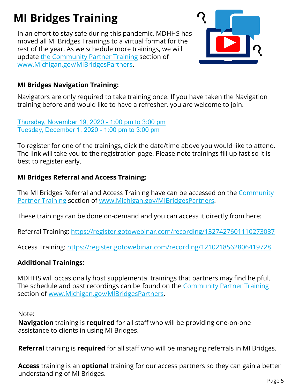# **MI Bridges Training**

In an effort to stay safe during this pandemic, MDHHS has moved all MI Bridges Trainings to a virtual format for the rest of the year. As we schedule more trainings, we will update [the Community Partner Training](https://www.michigan.gov/mdhhs/0,5885,7-339-71551_82637_82640---,00.html) section of [www.Michigan.gov/MIBridgesPartners.](http://www.michigan.gov/MIBridgesPartners)



#### **MI Bridges Navigation Training:**

Navigators are only required to take training once. If you have taken the Navigation training before and would like to have a refresher, you are welcome to join.

[Thursday, November 19, 2020 -](https://attendee.gotowebinar.com/register/255746814758106380) 1:00 pm to 3:00 pm [Tuesday, December 1, 2020 -](https://attendee.gotowebinar.com/register/2163593002995962124) 1:00 pm to 3:00 pm

To register for one of the trainings, click the date/time above you would like to attend. The link will take you to the registration page. Please note trainings fill up fast so it is best to register early.

#### **MI Bridges Referral and Access Training:**

[The MI Bridges Referral and Access Training have can be accessed on the Community](https://www.michigan.gov/mdhhs/0,5885,7-339-71551_82637_82640---,00.html) Partner Training section of [www.Michigan.gov/MIBridgesPartners](http://www.michigan.gov/MIBridgesPartners).

These trainings can be done on-demand and you can access it directly from here:

Referral Training: <https://register.gotowebinar.com/recording/1327427601110273037>

Access Training: <https://register.gotowebinar.com/recording/1210218562806419728>

#### **Additional Trainings:**

MDHHS will occasionally host supplemental trainings that partners may find helpful. The schedule and past recordings can be found on the [Community Partner Training](https://www.michigan.gov/mdhhs/0,5885,7-339-71551_82637_82640---,00.html) section of [www.Michigan.gov/MIBridgesPartners.](http://www.michigan.gov/MIBridgesPartners)

Note:

**Navigation** training is **required** for all staff who will be providing one-on-one assistance to clients in using MI Bridges.

**Referral** training is **required** for all staff who will be managing referrals in MI Bridges.

**Access** training is an **optional** training for our access partners so they can gain a better understanding of MI Bridges.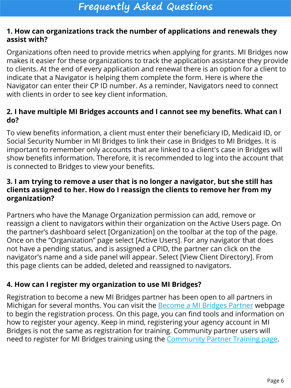#### **1. How can organizations track the number of applications and renewals they assist with?**

Organizations often need to provide metrics when applying for grants. MI Bridges now makes it easier for these organizations to track the application assistance they provide to clients. At the end of every application and renewal there is an option for a client to indicate that a Navigator is helping them complete the form. Here is where the Navigator can enter their CP ID number. As a reminder, Navigators need to connect with clients in order to see key client information.

#### **2. I have multiple MI Bridges accounts and I cannot see my benefits. What can I do?**

To view benefits information, a client must enter their beneficiary ID, Medicaid ID, or Social Security Number in MI Bridges to link their case in Bridges to MI Bridges. It is important to remember only accounts that are linked to a client's case in Bridges will show benefits information. Therefore, it is recommended to log into the account that is connected to Bridges to view your benefits.

#### **3. I am trying to remove a user that is no longer a navigator, but she still has clients assigned to her. How do I reassign the clients to remove her from my organization?**

Partners who have the Manage Organization permission can add, remove or reassign a client to navigators within their organization on the Active Users page. On the partner's dashboard select [Organization] on the toolbar at the top of the page. Once on the "Organization" page select [Active Users]. For any navigator that does not have a pending status, and is assigned a CPID, the partner can click on the navigator's name and a side panel will appear. Select [View Client Directory]. From this page clients can be added, deleted and reassigned to navigators.

#### **4. How can I register my organization to use MI Bridges?**

Registration to become a new MI Bridges partner has been open to all partners in Michigan for several months. You can visit the **Become a MI Bridges Partner** webpage to begin the registration process. On this page, you can find tools and information on how to register your agency. Keep in mind, registering your agency account in MI Bridges is not the same as registration for training. Community partner users will need to register for MI Bridges training using the [Community Partner Training page](https://www.michigan.gov/mdhhs/0,5885,7-339-71551_82637_82640---,00.html).